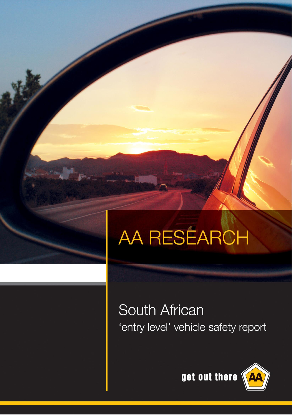# AA RESÉARCH

# South African 'entry level' vehicle safety report

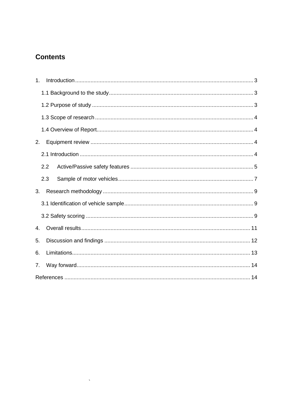# **Contents**

| 1. |     |  |
|----|-----|--|
|    |     |  |
|    |     |  |
|    |     |  |
|    |     |  |
| 2. |     |  |
|    |     |  |
|    | 2.2 |  |
|    | 2.3 |  |
| 3. |     |  |
|    |     |  |
|    |     |  |
| 4. |     |  |
| 5. |     |  |
| 6. |     |  |
| 7. |     |  |
|    |     |  |

 $\sim 10^{-11}$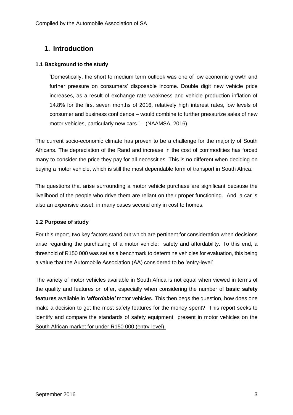# <span id="page-2-0"></span>**1. Introduction**

#### <span id="page-2-1"></span>**1.1 Background to the study**

'Domestically, the short to medium term outlook was one of low economic growth and further pressure on consumers' disposable income. Double digit new vehicle price increases, as a result of exchange rate weakness and vehicle production inflation of 14.8% for the first seven months of 2016, relatively high interest rates, low levels of consumer and business confidence – would combine to further pressurize sales of new motor vehicles, particularly new cars.' – (NAAMSA, 2016)

The current socio-economic climate has proven to be a challenge for the majority of South Africans. The depreciation of the Rand and increase in the cost of commodities has forced many to consider the price they pay for all necessities. This is no different when deciding on buying a motor vehicle, which is still the most dependable form of transport in South Africa.

The questions that arise surrounding a motor vehicle purchase are significant because the livelihood of the people who drive them are reliant on their proper functioning. And, a car is also an expensive asset, in many cases second only in cost to homes.

#### <span id="page-2-2"></span>**1.2 Purpose of study**

For this report, two key factors stand out which are pertinent for consideration when decisions arise regarding the purchasing of a motor vehicle: safety and affordability. To this end, a threshold of R150 000 was set as a benchmark to determine vehicles for evaluation, this being a value that the Automobile Association (AA) considered to be 'entry-level'.

The variety of motor vehicles available in South Africa is not equal when viewed in terms of the quality and features on offer, especially when considering the number of **basic safety features** available in *'affordable'* motor vehicles*.* This then begs the question, how does one make a decision to get the most safety features for the money spent? This report seeks to identify and compare the standards of safety equipment present in motor vehicles on the South African market for under R150 000 (entry-level).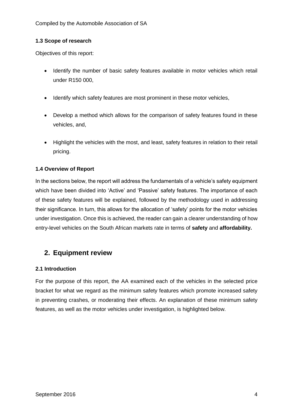#### <span id="page-3-0"></span>**1.3 Scope of research**

Objectives of this report:

- Identify the number of basic safety features available in motor vehicles which retail under R150 000,
- Identify which safety features are most prominent in these motor vehicles,
- Develop a method which allows for the comparison of safety features found in these vehicles, and,
- Highlight the vehicles with the most, and least, safety features in relation to their retail pricing.

#### <span id="page-3-1"></span>**1.4 Overview of Report**

In the sections below, the report will address the fundamentals of a vehicle's safety equipment which have been divided into 'Active' and 'Passive' safety features. The importance of each of these safety features will be explained, followed by the methodology used in addressing their significance. In turn, this allows for the allocation of 'safety' points for the motor vehicles under investigation. Once this is achieved, the reader can gain a clearer understanding of how entry-level vehicles on the South African markets rate in terms of **safety** and **affordability.**

# <span id="page-3-2"></span>**2. Equipment review**

#### <span id="page-3-3"></span>**2.1 Introduction**

For the purpose of this report, the AA examined each of the vehicles in the selected price bracket for what we regard as the minimum safety features which promote increased safety in preventing crashes, or moderating their effects. An explanation of these minimum safety features, as well as the motor vehicles under investigation, is highlighted below.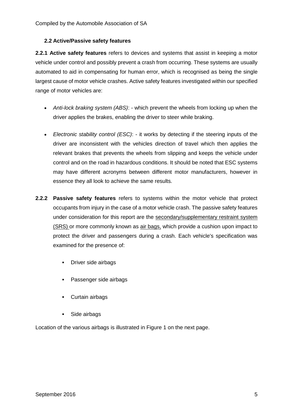#### <span id="page-4-0"></span>**2.2 Active/Passive safety features**

**2.2.1 Active safety features** refers to devices and systems that assist in keeping a motor vehicle under control and possibly prevent a crash from occurring. These systems are usually automated to aid in compensating for human error, which is recognised as being the single largest cause of motor vehicle crashes. Active safety features investigated within our specified range of motor vehicles are:

- *Anti-lock braking system (ABS)*: which prevent the wheels from locking up when the driver applies the brakes, enabling the driver to steer while braking.
- *Electronic stability control (ESC)*: it works by detecting if the steering inputs of the driver are inconsistent with the vehicles direction of travel which then applies the relevant brakes that prevents the wheels from slipping and keeps the vehicle under control and on the road in hazardous conditions. It should be noted that ESC systems may have different acronyms between different motor manufacturers, however in essence they all look to achieve the same results.
- **2.2.2 Passive safety features** refers to systems within the motor vehicle that protect occupants from injury in the case of a motor vehicle crash. The passive safety features under consideration for this report are the secondary/supplementary restraint system (SRS) or more commonly known as air bags, which provide a cushion upon impact to protect the driver and passengers during a crash. Each vehicle's specification was examined for the presence of:
	- **-** Driver side airbags
	- **Passenger side airbags**
	- Curtain airbags
	- Side airbags

Location of the various airbags is illustrated in Figure 1 on the next page.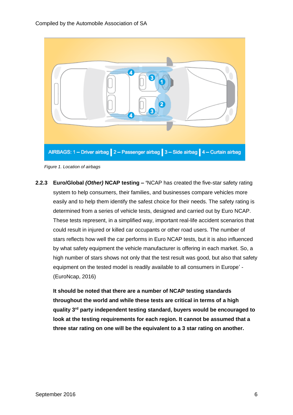

*Figure 1. Location of airbags*

**2.2.3 Euro/Global** *(Other)* **NCAP testing – '**NCAP has created the five-star safety rating system to help consumers, their families, and businesses compare vehicles more easily and to help them identify the safest choice for their needs. The safety rating is determined from a series of vehicle tests, designed and carried out by Euro NCAP. These tests represent, in a simplified way, important real-life accident scenarios that could result in injured or killed car occupants or other road users. The number of stars reflects how well the car performs in Euro NCAP tests, but it is also influenced by what safety equipment the vehicle manufacturer is offering in each market. So, a high number of stars shows not only that the test result was good, but also that safety equipment on the tested model is readily available to all consumers in Europe' - (EuroNcap, 2016)

**It should be noted that there are a number of NCAP testing standards throughout the world and while these tests are critical in terms of a high quality 3rd party independent testing standard, buyers would be encouraged to look at the testing requirements for each region. It cannot be assumed that a three star rating on one will be the equivalent to a 3 star rating on another.**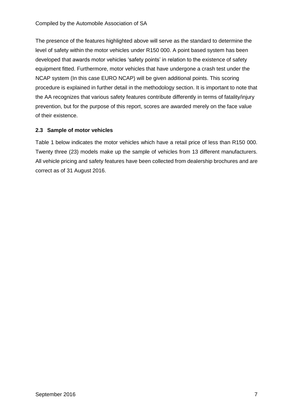The presence of the features highlighted above will serve as the standard to determine the level of safety within the motor vehicles under R150 000. A point based system has been developed that awards motor vehicles 'safety points' in relation to the existence of safety equipment fitted. Furthermore, motor vehicles that have undergone a crash test under the NCAP system (In this case EURO NCAP) will be given additional points. This scoring procedure is explained in further detail in the methodology section. It is important to note that the AA recognizes that various safety features contribute differently in terms of fatality/injury prevention, but for the purpose of this report, scores are awarded merely on the face value of their existence.

#### <span id="page-6-0"></span>**2.3 Sample of motor vehicles**

Table 1 below indicates the motor vehicles which have a retail price of less than R150 000. Twenty three (23) models make up the sample of vehicles from 13 different manufacturers. All vehicle pricing and safety features have been collected from dealership brochures and are correct as of 31 August 2016.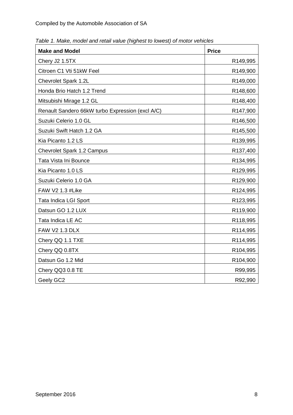| <b>Make and Model</b>                            | <b>Price</b>          |
|--------------------------------------------------|-----------------------|
| Chery J2 1.5TX                                   | R149,995              |
| Citroen C1 Vti 51kW Feel                         | R149,900              |
| Chevrolet Spark 1.2L                             | R149,000              |
| Honda Brio Hatch 1.2 Trend                       | R148,600              |
| Mitsubishi Mirage 1.2 GL                         | R148,400              |
| Renault Sandero 66kW turbo Expression (excl A/C) | R147,900              |
| Suzuki Celerio 1.0 GL                            | R146,500              |
| Suzuki Swift Hatch 1.2 GA                        | R145,500              |
| Kia Picanto 1.2 LS                               | R139,995              |
| Chevrolet Spark 1.2 Campus                       | R137,400              |
| Tata Vista Ini Bounce                            | R134,995              |
| Kia Picanto 1.0 LS                               | R129,995              |
| Suzuki Celerio 1.0 GA                            | R129,900              |
| FAW V2 1.3 #Like                                 | R124,995              |
| Tata Indica LGI Sport                            | R123,995              |
| Datsun GO 1.2 LUX                                | R119,900              |
| Tata Indica LE AC                                | R118,995              |
| <b>FAW V2 1.3 DLX</b>                            | R114,995              |
| Chery QQ 1.1 TXE                                 | R114,995              |
| Chery QQ 0.8TX                                   | R <sub>104</sub> ,995 |
| Datsun Go 1.2 Mid                                | R <sub>104</sub> ,900 |
| Chery QQ3 0.8 TE                                 | R99,995               |
| Geely GC2                                        | R92,990               |

*Table 1. Make, model and retail value (highest to lowest) of motor vehicles*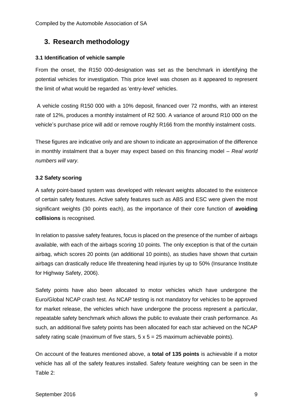# <span id="page-8-0"></span>**3. Research methodology**

#### <span id="page-8-1"></span>**3.1 Identification of vehicle sample**

From the onset, the R150 000-designation was set as the benchmark in identifying the potential vehicles for investigation. This price level was chosen as it appeared to represent the limit of what would be regarded as 'entry-level' vehicles.

A vehicle costing R150 000 with a 10% deposit, financed over 72 months, with an interest rate of 12%, produces a monthly instalment of R2 500. A variance of around R10 000 on the vehicle's purchase price will add or remove roughly R166 from the monthly instalment costs.

These figures are indicative only and are shown to indicate an approximation of the difference in monthly instalment that a buyer may expect based on this financing model – *Real world numbers will vary.*

#### <span id="page-8-2"></span>**3.2 Safety scoring**

A safety point-based system was developed with relevant weights allocated to the existence of certain safety features. Active safety features such as ABS and ESC were given the most significant weights (30 points each), as the importance of their core function of **avoiding collisions** is recognised.

In relation to passive safety features, focus is placed on the presence of the number of airbags available, with each of the airbags scoring 10 points. The only exception is that of the curtain airbag, which scores 20 points (an additional 10 points), as studies have shown that curtain airbags can drastically reduce life threatening head injuries by up to 50% (Insurance Institute for Highway Safety, 2006).

Safety points have also been allocated to motor vehicles which have undergone the Euro/Global NCAP crash test. As NCAP testing is not mandatory for vehicles to be approved for market release, the vehicles which have undergone the process represent a particular, repeatable safety benchmark which allows the public to evaluate their crash performance. As such, an additional five safety points has been allocated for each star achieved on the NCAP safety rating scale (maximum of five stars,  $5 \times 5 = 25$  maximum achievable points).

On account of the features mentioned above, a **total of 135 points** is achievable if a motor vehicle has all of the safety features installed. Safety feature weighting can be seen in the Table 2: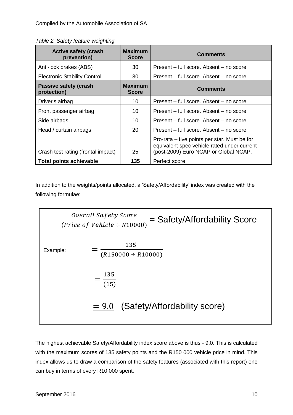| <b>Active safety (crash</b><br>prevention) | <b>Maximum</b><br><b>Score</b> | <b>Comments</b>                                                                                                                      |
|--------------------------------------------|--------------------------------|--------------------------------------------------------------------------------------------------------------------------------------|
| Anti-lock brakes (ABS)                     | 30                             | Present – full score, Absent – no score                                                                                              |
| <b>Electronic Stability Control</b>        | 30                             | Present – full score. Absent – no score                                                                                              |
| Passive safety (crash<br>protection)       | <b>Maximum</b><br><b>Score</b> | <b>Comments</b>                                                                                                                      |
| Driver's airbag                            | 10                             | Present – full score, Absent – no score                                                                                              |
| Front passenger airbag                     | 10                             | Present – full score. Absent – no score                                                                                              |
| Side airbags                               | 10                             | Present - full score. Absent - no score                                                                                              |
| Head / curtain airbags                     | 20                             | Present – full score, Absent – no score                                                                                              |
| Crash test rating (frontal impact)         | 25                             | Pro-rata – five points per star. Must be for<br>equivalent spec vehicle rated under current<br>(post-2009) Euro NCAP or Global NCAP. |
| <b>Total points achievable</b>             | 135                            | Perfect score                                                                                                                        |

In addition to the weights/points allocated, a 'Safety/Affordability' index was created with the following formulae:

Overall Safety Score (*Price of Vehicle*  $\div$  R10000) = Safety/Affordability Score Example: 135  $(R150000 \div R10000)$   $=\frac{135}{(15)}$ (15) i<br>I  $= 9.0$  (Safety/Affordability score)

The highest achievable Safety/Affordability index score above is thus - 9.0. This is calculated with the maximum scores of 135 safety points and the R150 000 vehicle price in mind. This index allows us to draw a comparison of the safety features (associated with this report) one can buy in terms of every R10 000 spent.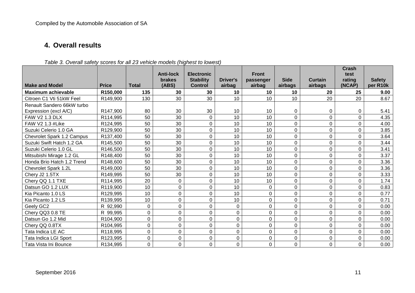# **4. Overall results**

<span id="page-10-0"></span>

|                            |                      |              | <b>Anti-lock</b> | <b>Electronic</b> |                | <b>Front</b> |                |             | <b>Crash</b><br>test |               |
|----------------------------|----------------------|--------------|------------------|-------------------|----------------|--------------|----------------|-------------|----------------------|---------------|
|                            |                      |              | <b>brakes</b>    | <b>Stability</b>  | Driver's       | passenger    | <b>Side</b>    | Curtain     | rating               | <b>Safety</b> |
| <b>Make and Model</b>      | <b>Price</b>         | <b>Total</b> | (ABS)            | <b>Control</b>    | airbag         | airbag       | airbags        | airbags     | (NCAP)               | per R10k      |
| <b>Maximum achievable</b>  | R150,000             | 135          | 30               | 30                | 10             | 10           | 10             | 20          | 25                   | 9.00          |
| Citroen C1 Vti 51kW Feel   | R149,900             | 130          | 30               | 30                | 10             | 10           | 10             | 20          | 20                   | 8.67          |
| Renault Sandero 66kW turbo |                      |              |                  |                   |                |              |                |             |                      |               |
| Expression (excl A/C)      | R147,900             | 80           | 30               | 30                | 10             | 10           | 0              | 0           | 0                    | 5.41          |
| <b>FAW V2 1.3 DLX</b>      | R114,995             | 50           | 30               | $\Omega$          | 10             | 10           | 0              | $\mathbf 0$ | 0                    | 4.35          |
| FAW V2 1.3 #Like           | R124,995             | 50           | 30               | 0                 | 10             | 10           | $\mathbf 0$    | $\Omega$    | $\Omega$             | 4.00          |
| Suzuki Celerio 1.0 GA      | R129,900             | 50           | 30               | 0                 | 10             | 10           | 0              | $\mathbf 0$ | 0                    | 3.85          |
| Chevrolet Spark 1.2 Campus | R137,400             | 50           | 30               | 0                 | 10             | 10           | $\mathbf 0$    | $\mathbf 0$ | $\Omega$             | 3.64          |
| Suzuki Swift Hatch 1.2 GA  | R145,500             | 50           | 30               | 0                 | 10             | 10           | $\mathbf 0$    | $\mathbf 0$ | $\Omega$             | 3.44          |
| Suzuki Celerio 1.0 GL      | R146,500             | 50           | 30               | $\Omega$          | 10             | 10           | $\mathbf 0$    | $\mathbf 0$ | 0                    | 3.41          |
| Mitsubishi Mirage 1.2 GL   | R148,400             | 50           | 30               | 0                 | 10             | 10           | $\mathbf 0$    | $\mathbf 0$ | 0                    | 3.37          |
| Honda Brio Hatch 1.2 Trend | R148,600             | 50           | 30               | 0                 | 10             | 10           | $\mathbf 0$    | $\mathbf 0$ | 0                    | 3.36          |
| Chevrolet Spark 1.2L       | R149,000             | 50           | 30               | 0                 | 10             | 10           | 0              | $\mathbf 0$ | $\overline{0}$       | 3.36          |
| Chery J2 1.5TX             | R149,995             | 50           | 30               | $\Omega$          | 10             | 10           | $\mathbf 0$    | $\Omega$    | 0                    | 3.33          |
| Chery QQ 1.1 TXE           | R114,995             | 20           | $\Omega$         | 0                 | 10             | 10           | $\mathbf 0$    | $\mathbf 0$ | $\overline{0}$       | 1.74          |
| Datsun GO 1.2 LUX          | R119,900             | 10           | 0                | 0                 | 10             | 0            | $\mathbf 0$    | $\mathbf 0$ | $\Omega$             | 0.83          |
| Kia Picanto 1.0 LS         | R129,995             | 10           | $\Omega$         | 0                 | 10             | 0            | $\mathbf 0$    | $\mathbf 0$ | 0                    | 0.77          |
| Kia Picanto 1.2 LS         | R139,995             | 10           | $\mathbf 0$      | 0                 | 10             | 0            | 0              | $\pmb{0}$   | $\overline{0}$       | 0.71          |
| Geely GC2                  | R 92,990             | $\mathbf 0$  | $\Omega$         | $\Omega$          | $\mathbf{0}$   | 0            | $\Omega$       | 0           | $\Omega$             | 0.00          |
| Chery QQ3 0.8 TE           | R 99,995             | $\mathbf 0$  | $\mathbf 0$      | 0                 | 0              | 0            | 0              | $\mathbf 0$ | $\Omega$             | 0.00          |
| Datsun Go 1.2 Mid          | R <sub>104,900</sub> | 0            | $\Omega$         | $\Omega$          | $\mathbf 0$    | 0            | $\Omega$       | 0           | $\Omega$             | 0.00          |
| Chery QQ 0.8TX             | R104,995             | $\mathbf 0$  | $\mathbf 0$      | 0                 | $\mathbf 0$    | 0            | 0              | $\mathbf 0$ | $\Omega$             | 0.00          |
| Tata Indica LE AC          | R118,995             | 0            | $\Omega$         | $\Omega$          | $\Omega$       | 0            | $\overline{0}$ | 0           | $\Omega$             | 0.00          |
| Tata Indica LGI Sport      | R123,995             | 0            | $\mathbf 0$      | 0                 | $\mathbf 0$    | 0            | $\pmb{0}$      | $\mathbf 0$ | 0                    | 0.00          |
| Tata Vista Ini Bounce      | R134,995             | 0            | $\Omega$         | 0                 | $\overline{0}$ | 0            | $\overline{0}$ | $\mathbf 0$ | 0                    | 0.00          |

*Table 3. Overall safety scores for all 23 vehicle models (highest to lowest)*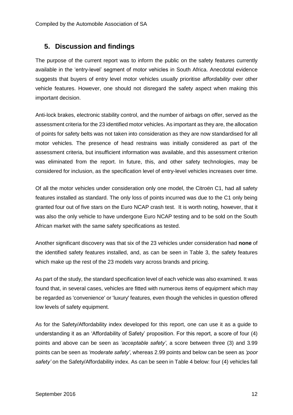# <span id="page-11-0"></span>**5. Discussion and findings**

The purpose of the current report was to inform the public on the safety features currently available in the 'entry-level' segment of motor vehicles in South Africa. Anecdotal evidence suggests that buyers of entry level motor vehicles usually prioritise *affordability* over other vehicle features. However, one should not disregard the safety aspect when making this important decision.

Anti-lock brakes, electronic stability control, and the number of airbags on offer, served as the assessment criteria for the 23 identified motor vehicles. As important as they are, the allocation of points for safety belts was not taken into consideration as they are now standardised for all motor vehicles. The presence of head restrains was initially considered as part of the assessment criteria, but insufficient information was available, and this assessment criterion was eliminated from the report. In future, this, and other safety technologies, may be considered for inclusion, as the specification level of entry-level vehicles increases over time.

Of all the motor vehicles under consideration only one model, the Citroën C1, had all safety features installed as standard. The only loss of points incurred was due to the C1 only being granted four out of five stars on the Euro NCAP crash test. It is worth noting, however, that it was also the only vehicle to have undergone Euro NCAP testing and to be sold on the South African market with the same safety specifications as tested.

Another significant discovery was that six of the 23 vehicles under consideration had **none** of the identified safety features installed, and, as can be seen in Table 3, the safety features which make up the rest of the 23 models vary across brands and pricing.

As part of the study, the standard specification level of each vehicle was also examined. It was found that, in several cases, vehicles are fitted with numerous items of equipment which may be regarded as 'convenience' or 'luxury' features, even though the vehicles in question offered low levels of safety equipment.

As for the Safety/Affordability index developed for this report, one can use it as a guide to understanding it as an 'Affordability of Safety' proposition. For this report, a score of four (4) points and above can be seen as *'acceptable safety'*, a score between three (3) and 3.99 points can be seen as *'moderate safety'*, whereas 2.99 points and below can be seen as *'poor safety'* on the Safety/Affordability index. As can be seen in Table 4 below: four (4) vehicles fall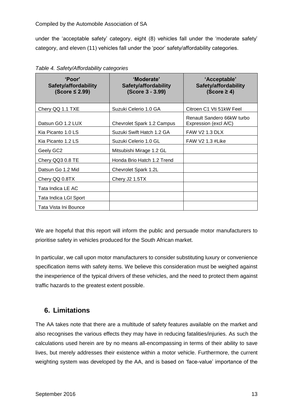#### Compiled by the Automobile Association of SA

under the 'acceptable safety' category, eight (8) vehicles fall under the 'moderate safety' category, and eleven (11) vehicles fall under the 'poor' safety/affordability categories.

| 'Poor'<br>Safety/affordability<br>$(Score \leq 2.99)$ | 'Moderate'<br>Safety/affordability<br>(Score 3 - 3.99) | 'Acceptable'<br>Safety/affordability<br>(Score $\geq$ 4) |
|-------------------------------------------------------|--------------------------------------------------------|----------------------------------------------------------|
| Chery QQ 1.1 TXE                                      | Suzuki Celerio 1.0 GA                                  | Citroen C1 Vti 51kW Feel                                 |
| Datsun GO 1.2 LUX                                     | Chevrolet Spark 1.2 Campus                             | Renault Sandero 66kW turbo<br>Expression (excl A/C)      |
| Kia Picanto 1.0 LS                                    | Suzuki Swift Hatch 1.2 GA                              | <b>FAW V2 1.3 DLX</b>                                    |
| Kia Picanto 1.2 LS                                    | Suzuki Celerio 1.0 GL                                  | FAW V2 1.3 #Like                                         |
| Geely GC2                                             | Mitsubishi Mirage 1.2 GL                               |                                                          |
| Chery QQ3 0.8 TE                                      | Honda Brio Hatch 1.2 Trend                             |                                                          |
| Datsun Go 1.2 Mid                                     | Chevrolet Spark 1.2L                                   |                                                          |
| Chery QQ 0.8TX                                        | Chery J2 1.5TX                                         |                                                          |
| Tata Indica LE AC                                     |                                                        |                                                          |
| Tata Indica LGI Sport                                 |                                                        |                                                          |
| Tata Vista Ini Bounce                                 |                                                        |                                                          |

| Table 4. Safety/Affordability categories |  |
|------------------------------------------|--|
|                                          |  |

We are hopeful that this report will inform the public and persuade motor manufacturers to prioritise safety in vehicles produced for the South African market.

In particular, we call upon motor manufacturers to consider substituting luxury or convenience specification items with safety items. We believe this consideration must be weighed against the inexperience of the typical drivers of these vehicles, and the need to protect them against traffic hazards to the greatest extent possible.

### <span id="page-12-0"></span>**6. Limitations**

The AA takes note that there are a multitude of safety features available on the market and also recognises the various effects they may have in reducing fatalities/injuries. As such the calculations used herein are by no means all-encompassing in terms of their ability to save lives, but merely addresses their existence within a motor vehicle. Furthermore, the current weighting system was developed by the AA, and is based on 'face-value' importance of the